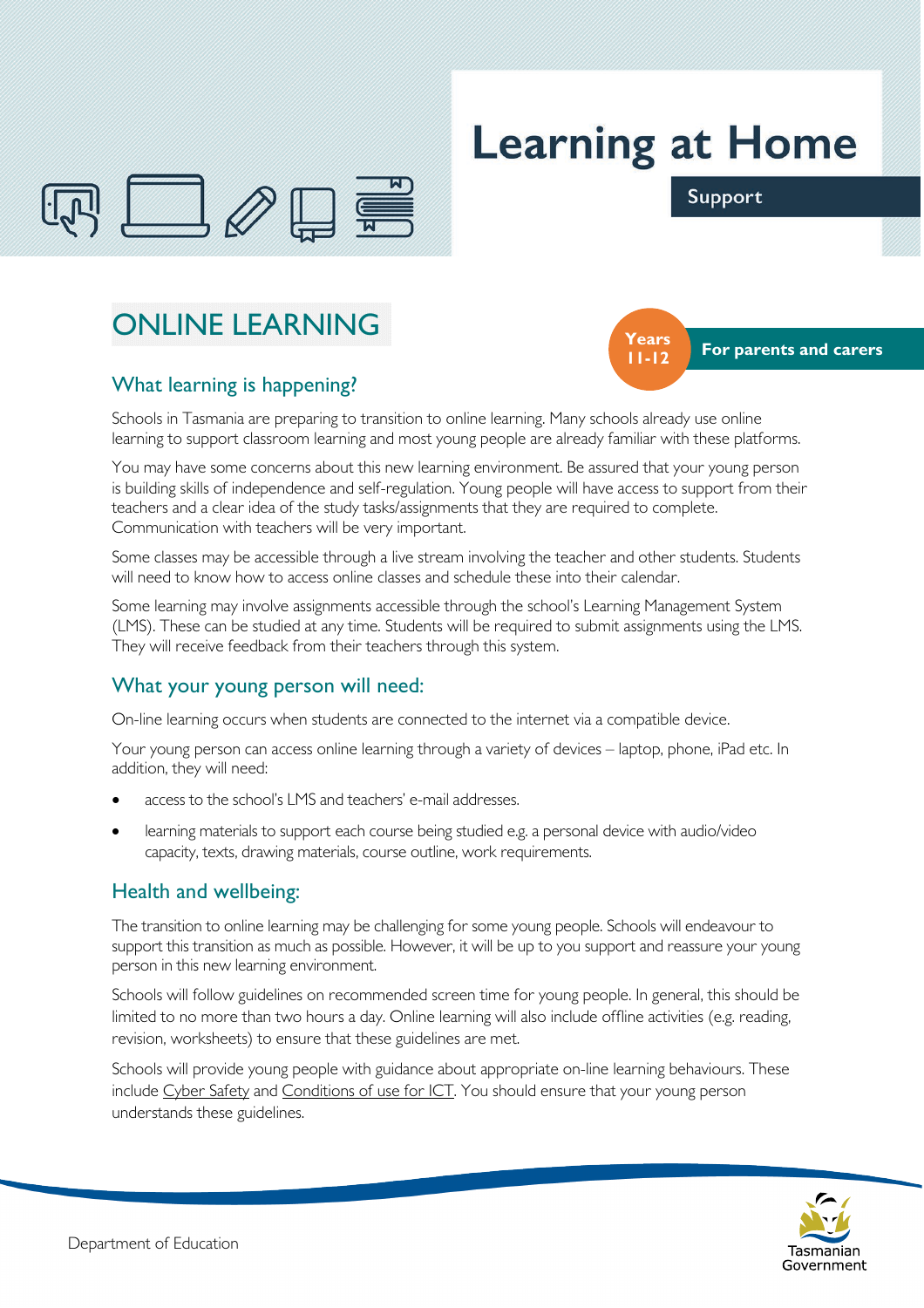

# **Learning at Home**



Support

## ONLINE LEARNING

### What learning is happening?

Schools in Tasmania are preparing to transition to online learning. Many schools already use online learning to support classroom learning and most young people are already familiar with these platforms.

You may have some concerns about this new learning environment. Be assured that your young person is building skills of independence and self-regulation. Young people will have access to support from their teachers and a clear idea of the study tasks/assignments that they are required to complete. Communication with teachers will be very important.

Some classes may be accessible through a live stream involving the teacher and other students. Students will need to know how to access online classes and schedule these into their calendar.

Some learning may involve assignments accessible through the school's Learning Management System (LMS). These can be studied at any time. Students will be required to submit assignments using the LMS. They will receive feedback from their teachers through this system.

#### What your young person will need:

On-line learning occurs when students are connected to the internet via a compatible device.

Your young person can access online learning through a variety of devices – laptop, phone, iPad etc. In addition, they will need:

- access to the school's LMS and teachers' e-mail addresses.
- learning materials to support each course being studied e.g. a personal device with audio/video capacity, texts, drawing materials, course outline, work requirements.

#### Health and wellbeing:

The transition to online learning may be challenging for some young people. Schools will endeavour to support this transition as much as possible. However, it will be up to you support and reassure your young person in this new learning environment.

Schools will follow guidelines on recommended screen time for young people. In general, this should be limited to no more than two hours a day. Online learning will also include offline activities (e.g. reading, revision, worksheets) to ensure that these guidelines are met.

Schools will provide young people with guidance about appropriate on-line learning behaviours. These include Cyber Safety and Conditions of use for ICT. You should ensure that your young person understands these guidelines.